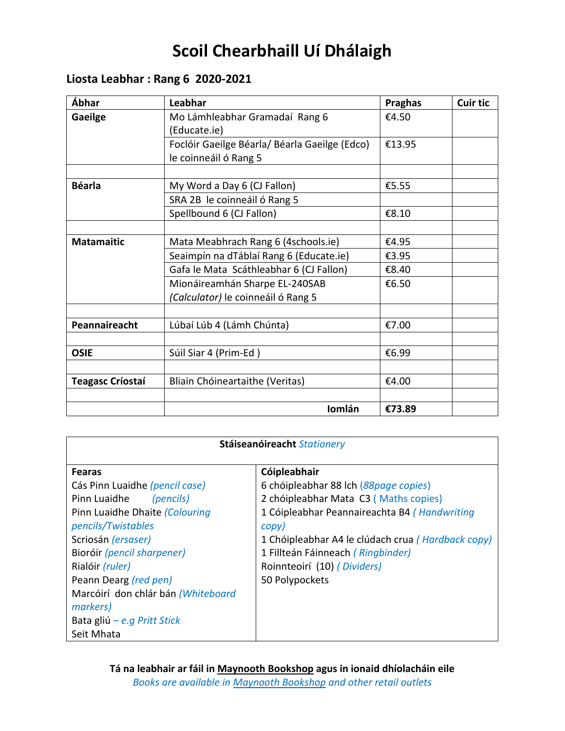# **Scoil Chearbhaill Uí Dhálaigh**

# **Liosta Leabhar : Rang 6 2020-2021**

| Ábhar                   | Leabhar                                       | Praghas | <b>Cuir tic</b> |
|-------------------------|-----------------------------------------------|---------|-----------------|
| Gaeilge                 | Mo Lámhleabhar Gramadaí Rang 6                | €4.50   |                 |
|                         | (Educate.ie)                                  |         |                 |
|                         | Foclóir Gaeilge Béarla/ Béarla Gaeilge (Edco) | €13.95  |                 |
|                         | le coinneáil ó Rang 5                         |         |                 |
|                         |                                               |         |                 |
| <b>Béarla</b>           | My Word a Day 6 (CJ Fallon)                   | €5.55   |                 |
|                         | SRA 2B le coinneáil ó Rang 5                  |         |                 |
|                         | Spellbound 6 (CJ Fallon)                      | €8.10   |                 |
|                         |                                               |         |                 |
| <b>Matamaitic</b>       | Mata Meabhrach Rang 6 (4schools.ie)           | €4.95   |                 |
|                         | Seaimpín na dTáblaí Rang 6 (Educate.ie)       | €3.95   |                 |
|                         | Gafa le Mata Scáthleabhar 6 (CJ Fallon)       | €8.40   |                 |
|                         | Mionáireamhán Sharpe EL-240SAB                | €6.50   |                 |
|                         | (Calculator) le coinneáil ó Rang 5            |         |                 |
|                         |                                               |         |                 |
| Peannaireacht           | Lúbaí Lúb 4 (Lámh Chúnta)                     | €7.00   |                 |
|                         |                                               |         |                 |
| <b>OSIE</b>             | Súil Siar 4 (Prim-Ed)                         | €6.99   |                 |
|                         |                                               |         |                 |
| <b>Teagasc Críostaí</b> | Bliain Chóineartaithe (Veritas)               | €4.00   |                 |
|                         |                                               |         |                 |
|                         | Iomlán                                        | €73.89  |                 |

| Stáiseanóireacht Stationery                                                                                                                                                                                                                                                                                                         |                                                                                                                                                                                                                                                                                                    |  |
|-------------------------------------------------------------------------------------------------------------------------------------------------------------------------------------------------------------------------------------------------------------------------------------------------------------------------------------|----------------------------------------------------------------------------------------------------------------------------------------------------------------------------------------------------------------------------------------------------------------------------------------------------|--|
| <b>Fearas</b><br>Cás Pinn Luaidhe (pencil case)<br>Pinn Luaidhe<br>(pencils)<br>Pinn Luaidhe Dhaite (Colouring<br>pencils/Twistables<br>Scriosán (ersaser)<br>Bioróir (pencil sharpener)<br>Rialóir (ruler)<br>Peann Dearg (red pen)<br>Marcóirí don chlár bán (Whiteboard<br>markers)<br>Bata gliú – e.g Pritt Stick<br>Seit Mhata | Cóipleabhair<br>6 chóipleabhar 88 lch (88page copies)<br>2 chóipleabhar Mata C3 (Maths copies)<br>1 Cóipleabhar Peannaireachta B4 (Handwriting<br>copy)<br>1 Chóipleabhar A4 le clúdach crua (Hardback copy)<br>1 Fillteán Fáinneach (Ringbinder)<br>Roinnteoirí (10) (Dividers)<br>50 Polypockets |  |
|                                                                                                                                                                                                                                                                                                                                     |                                                                                                                                                                                                                                                                                                    |  |